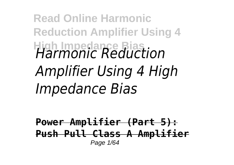## **Read Online Harmonic Reduction Amplifier Using 4 High Impedance Bias** *Harmonic Reduction Amplifier Using 4 High Impedance Bias*

**Power Amplifier (Part 5): Push Pull Class A Amplifier** Page 1/64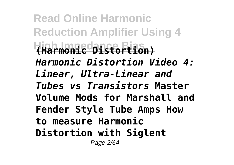**Read Online Harmonic Reduction Amplifier Using 4 High Impedance Bias (Harmonic Distortion)** *Harmonic Distortion Video 4: Linear, Ultra-Linear and Tubes vs Transistors* **Master Volume Mods for Marshall and Fender Style Tube Amps How to measure Harmonic Distortion with Siglent** Page 2/64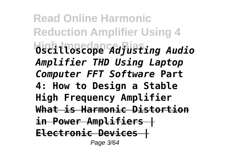**Read Online Harmonic Reduction Amplifier Using 4 High Impedance Bias Oscilloscope** *Adjusting Audio Amplifier THD Using Laptop Computer FFT Software* **Part 4: How to Design a Stable High Frequency Amplifier What is Harmonic Distortion in Power Amplifiers | Electronic Devices |** Page 3/64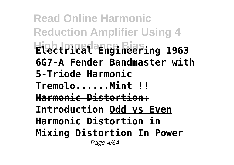**Read Online Harmonic Reduction Amplifier Using 4 High Impedance Bias Electrical Engineering 1963 6G7-A Fender Bandmaster with 5-Triode Harmonic Tremolo......Mint !! Harmonic Distortion: Introduction Odd vs Even Harmonic Distortion in Mixing Distortion In Power** Page 4/64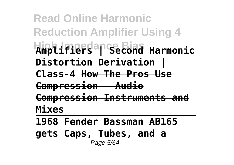**Read Online Harmonic Reduction Amplifier Using 4 High Impedance Bias Amplifiers | Second Harmonic Distortion Derivation | Class-4 How The Pros Use Compression - Audio Compression Instruments and Mixes**

**1968 Fender Bassman AB165 gets Caps, Tubes, and a** Page 5/64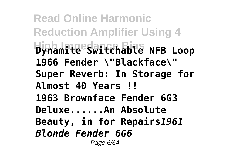**Read Online Harmonic Reduction Amplifier Using 4 High Impedance Bias Dynamite Switchable NFB Loop 1966 Fender \"Blackface\" Super Reverb: In Storage for Almost 40 Years !! 1963 Brownface Fender 6G3 Deluxe......An Absolute Beauty, in for Repairs***1961 Blonde Fender 6G6* Page 6/64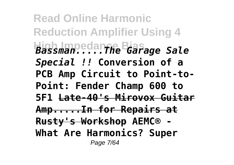**Read Online Harmonic Reduction Amplifier Using 4 High Impedance Bias** *Bassman.....The Garage Sale Special !!* **Conversion of a PCB Amp Circuit to Point-to-Point: Fender Champ 600 to 5F1 Late-40's Mirovox Guitar Amp.....In for Repairs at Rusty's Workshop AEMC® - What Are Harmonics? Super** Page 7/64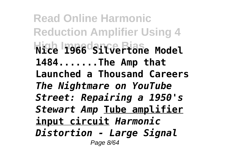**Read Online Harmonic Reduction Amplifier Using 4 High Impedance Bias Nice 1966 Silvertone Model 1484.......The Amp that Launched a Thousand Careers** *The Nightmare on YouTube Street: Repairing a 1950's Stewart Amp* **Tube amplifier input circuit** *Harmonic Distortion - Large Signal* Page 8/64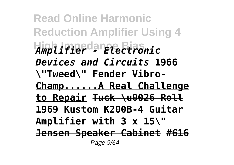**Read Online Harmonic Reduction Amplifier Using 4 High Impedance Bias** *Amplifier - Electronic Devices and Circuits* **1966 \"Tweed\" Fender Vibro-Champ......A Real Challenge to Repair Tuck \u0026 Roll 1969 Kustom K200B-4 Guitar Amplifier with 3 x 15\" Jensen Speaker Cabinet #616** Page  $9/64$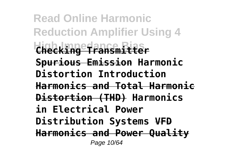**Read Online Harmonic Reduction Amplifier Using 4 High Impedance Bias Checking Transmitter Spurious Emission Harmonic Distortion Introduction Harmonics and Total Harmonic Distortion (THD) Harmonics in Electrical Power Distribution Systems VFD Harmonics and Power Quality** Page 10/64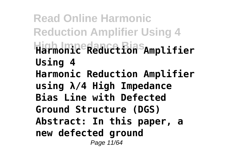**Read Online Harmonic Reduction Amplifier Using 4 High Impedance Bias Harmonic Reduction Amplifier Using 4 Harmonic Reduction Amplifier using λ/4 High Impedance Bias Line with Defected Ground Structure (DGS) Abstract: In this paper, a new defected ground** Page 11/64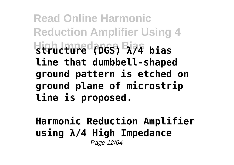**Read Online Harmonic Reduction Amplifier Using 4 High Impedance Bias structure (DGS) λ/4 bias line that dumbbell-shaped ground pattern is etched on ground plane of microstrip line is proposed.**

**Harmonic Reduction Amplifier using λ/4 High Impedance** Page 12/64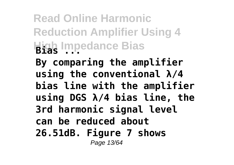**Read Online Harmonic Reduction Amplifier Using 4 High Impedance Bias Bias ...**

**By comparing the amplifier using the conventional λ/4 bias line with the amplifier using DGS λ/4 bias line, the 3rd harmonic signal level can be reduced about 26.51dB. Figure 7 shows** Page 13/64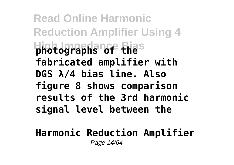**Read Online Harmonic Reduction Amplifier Using 4 High Impedance Bias photographs of the fabricated amplifier with DGS λ/4 bias line. Also figure 8 shows comparison results of the 3rd harmonic signal level between the**

**Harmonic Reduction Amplifier** Page 14/64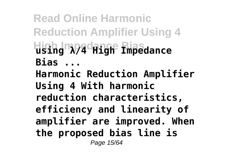**Read Online Harmonic Reduction Amplifier Using 4 High Impedance Bias using λ/4 High Impedance Bias ... Harmonic Reduction Amplifier Using 4 With harmonic reduction characteristics, efficiency and linearity of amplifier are improved. When the proposed bias line is** Page 15/64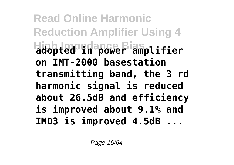**Read Online Harmonic Reduction Amplifier Using 4 High Impedance Bias adopted in power amplifier on IMT-2000 basestation transmitting band, the 3 rd harmonic signal is reduced about 26.5dB and efficiency is improved about 9.1% and IMD3 is improved 4.5dB ...**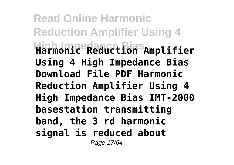**Read Online Harmonic Reduction Amplifier Using 4 High Impedance Bias Harmonic Reduction Amplifier Using 4 High Impedance Bias Download File PDF Harmonic Reduction Amplifier Using 4 High Impedance Bias IMT-2000 basestation transmitting band, the 3 rd harmonic signal is reduced about** Page 17/64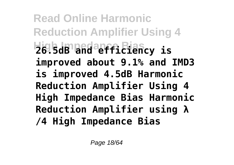**Read Online Harmonic Reduction Amplifier Using 4 High Impedance Bias 26.5dB and efficiency is improved about 9.1% and IMD3 is improved 4.5dB Harmonic Reduction Amplifier Using 4 High Impedance Bias Harmonic Reduction Amplifier using λ /4 High Impedance Bias**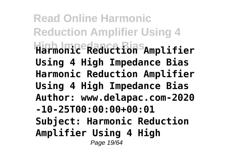**Read Online Harmonic Reduction Amplifier Using 4 High Impedance Bias Harmonic Reduction Amplifier Using 4 High Impedance Bias Harmonic Reduction Amplifier Using 4 High Impedance Bias Author: www.delapac.com-2020 -10-25T00:00:00+00:01 Subject: Harmonic Reduction Amplifier Using 4 High** Page 19/64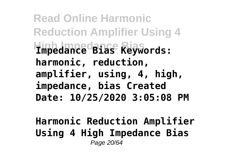**Read Online Harmonic Reduction Amplifier Using 4 High Impedance Bias Impedance Bias Keywords: harmonic, reduction, amplifier, using, 4, high, impedance, bias Created Date: 10/25/2020 3:05:08 PM**

**Harmonic Reduction Amplifier Using 4 High Impedance Bias** Page 20/64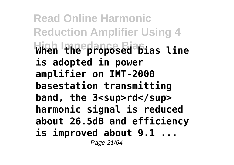**Read Online Harmonic Reduction Amplifier Using 4 High Impedance Bias When the proposed bias line is adopted in power amplifier on IMT-2000 basestation transmitting** band, the 3<sup>rd</sup> **harmonic signal is reduced about 26.5dB and efficiency is improved about 9.1 ...** Page 21/64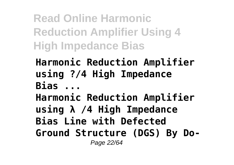**Read Online Harmonic Reduction Amplifier Using 4 High Impedance Bias**

## **Harmonic Reduction Amplifier using ?/4 High Impedance Bias ...**

**Harmonic Reduction Amplifier using λ /4 High Impedance Bias Line with Defected Ground Structure (DGS) By Do-**Page 22/64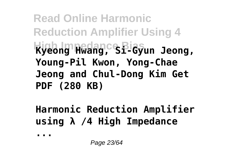**Read Online Harmonic Reduction Amplifier Using 4 Kyeong Hwang, Si-Gyun Jeong, Young-Pil Kwon, Yong-Chae Jeong and Chul-Dong Kim Get PDF (280 KB)**

**Harmonic Reduction Amplifier using λ /4 High Impedance**

**...**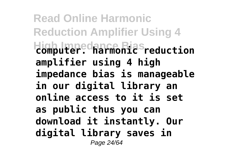**Read Online Harmonic Reduction Amplifier Using 4 High Impedance Bias computer. harmonic reduction amplifier using 4 high impedance bias is manageable in our digital library an online access to it is set as public thus you can download it instantly. Our digital library saves in** Page 24/64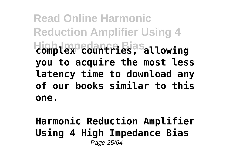**Read Online Harmonic Reduction Amplifier Using 4 High Impedance Bias complex countries, allowing you to acquire the most less latency time to download any of our books similar to this one.**

**Harmonic Reduction Amplifier Using 4 High Impedance Bias** Page 25/64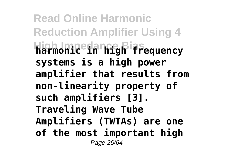**Read Online Harmonic Reduction Amplifier Using 4 High Impedance Bias harmonic in high frequency systems is a high power amplifier that results from non-linearity property of such amplifiers [3]. Traveling Wave Tube Amplifiers (TWTAs) are one of the most important high** Page 26/64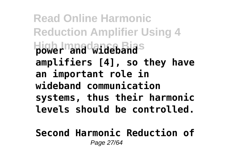**Read Online Harmonic Reduction Amplifier Using 4 Hower and wideband amplifiers [4], so they have an important role in wideband communication systems, thus their harmonic levels should be controlled.**

**Second Harmonic Reduction of** Page 27/64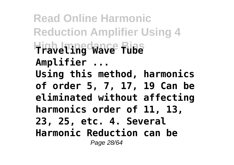**Read Online Harmonic Reduction Amplifier Using 4 High Impedance Bias Traveling Wave Tube Amplifier ... Using this method, harmonics of order 5, 7, 17, 19 Can be eliminated without affecting harmonics order of 11, 13, 23, 25, etc. 4. Several Harmonic Reduction can be** Page 28/64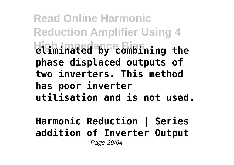**Read Online Harmonic Reduction Amplifier Using 4 High Impedance Bias eliminated by combining the phase displaced outputs of two inverters. This method has poor inverter utilisation and is not used.**

**Harmonic Reduction | Series addition of Inverter Output** Page 29/64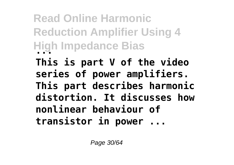**Read Online Harmonic Reduction Amplifier Using 4 High Impedance Bias ...**

**This is part V of the video series of power amplifiers. This part describes harmonic distortion. It discusses how nonlinear behaviour of transistor in power ...**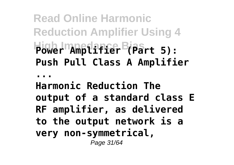**Read Online Harmonic Reduction Amplifier Using 4 High Impedance Bias Power Amplifier (Part 5): Push Pull Class A Amplifier**

**...**

**Harmonic Reduction The output of a standard class E RF amplifier, as delivered to the output network is a very non-symmetrical,** Page 31/64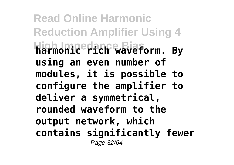**Read Online Harmonic Reduction Amplifier Using 4 High Impedance Bias harmonic rich waveform. By using an even number of modules, it is possible to configure the amplifier to deliver a symmetrical, rounded waveform to the output network, which contains significantly fewer** Page 32/64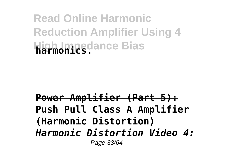## **Read Online Harmonic Reduction Amplifier Using 4 High Impedance Bias**

## **Power Amplifier (Part 5): Push Pull Class A Amplifier (Harmonic Distortion)** *Harmonic Distortion Video 4:* Page 33/64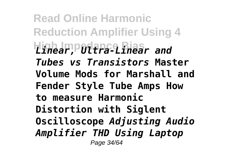**Read Online Harmonic Reduction Amplifier Using 4 High Impedance Bias** *Linear, Ultra-Linear and Tubes vs Transistors* **Master Volume Mods for Marshall and Fender Style Tube Amps How to measure Harmonic Distortion with Siglent Oscilloscope** *Adjusting Audio Amplifier THD Using Laptop* Page 34/64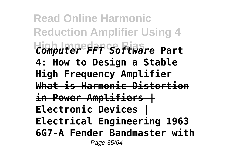**Read Online Harmonic Reduction Amplifier Using 4 High Impedance Bias** *Computer FFT Software* **Part 4: How to Design a Stable High Frequency Amplifier What is Harmonic Distortion in Power Amplifiers | Electronic Devices | Electrical Engineering 1963 6G7-A Fender Bandmaster with** Page 35/64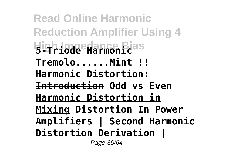**Read Online Harmonic Reduction Amplifier Using 4 High Impedance Bias 5-Triode Harmonic Tremolo......Mint !! Harmonic Distortion: Introduction Odd vs Even Harmonic Distortion in Mixing Distortion In Power Amplifiers | Second Harmonic Distortion Derivation |**

Page 36/64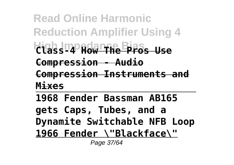**Read Online Harmonic Reduction Amplifier Using 4 High Impedance Bias Class-4 How The Pros Use Compression - Audio Compression Instruments and Mixes**

**1968 Fender Bassman AB165 gets Caps, Tubes, and a Dynamite Switchable NFB Loop 1966 Fender \"Blackface\"**

Page 37/64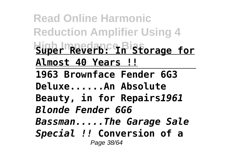**Read Online Harmonic Reduction Amplifier Using 4 High Impedance Bias Super Reverb: In Storage for Almost 40 Years !! 1963 Brownface Fender 6G3 Deluxe......An Absolute Beauty, in for Repairs***1961 Blonde Fender 6G6 Bassman.....The Garage Sale Special !!* **Conversion of a** Page 38/64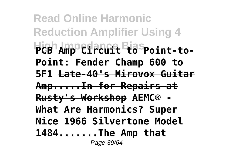**Read Online Harmonic Reduction Amplifier Using 4 FCB** Amp<sup>o</sup>circuit Biaspoint-to-**Point: Fender Champ 600 to 5F1 Late-40's Mirovox Guitar Amp.....In for Repairs at Rusty's Workshop AEMC® - What Are Harmonics? Super Nice 1966 Silvertone Model 1484.......The Amp that** Page 39/64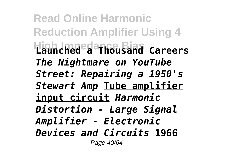**Read Online Harmonic Reduction Amplifier Using 4 High Impedance Bias Launched a Thousand Careers** *The Nightmare on YouTube Street: Repairing a 1950's Stewart Amp* **Tube amplifier input circuit** *Harmonic Distortion - Large Signal Amplifier - Electronic Devices and Circuits* **1966** Page 40/64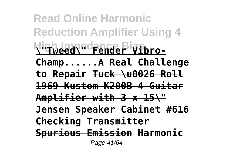**Read Online Harmonic Reduction Amplifier Using 4** High Impedence <sup>Big</sup>fbro-**Champ......A Real Challenge to Repair Tuck \u0026 Roll 1969 Kustom K200B-4 Guitar Amplifier with 3 x 15\" Jensen Speaker Cabinet #616 Checking Transmitter Spurious Emission Harmonic** Page 41/64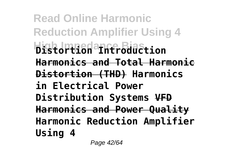**Read Online Harmonic Reduction Amplifier Using 4 High Impedance Bias Distortion Introduction Harmonics and Total Harmonic Distortion (THD) Harmonics in Electrical Power Distribution Systems VFD Harmonics and Power Quality Harmonic Reduction Amplifier Using 4**

Page 42/64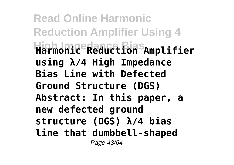**Read Online Harmonic Reduction Amplifier Using 4 High Impedance Bias Harmonic Reduction Amplifier using λ/4 High Impedance Bias Line with Defected Ground Structure (DGS) Abstract: In this paper, a new defected ground structure (DGS) λ/4 bias line that dumbbell-shaped** Page 43/64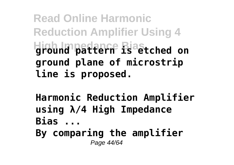**Read Online Harmonic Reduction Amplifier Using 4 High Impedance Bias ground pattern is etched on ground plane of microstrip line is proposed.**

**Harmonic Reduction Amplifier using λ/4 High Impedance Bias ...**

**By comparing the amplifier** Page 44/64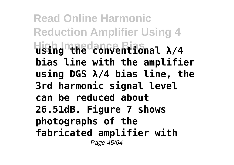**Read Online Harmonic Reduction Amplifier Using 4 High Impedance Bias using the conventional λ/4 bias line with the amplifier using DGS λ/4 bias line, the 3rd harmonic signal level can be reduced about 26.51dB. Figure 7 shows photographs of the fabricated amplifier with** Page 45/64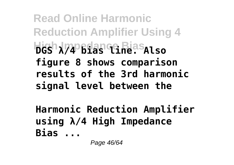**Read Online Harmonic Reduction Amplifier Using 4 Higsh J74 Bias Game Biasalso figure 8 shows comparison results of the 3rd harmonic signal level between the**

**Harmonic Reduction Amplifier using λ/4 High Impedance Bias ...**

Page 46/64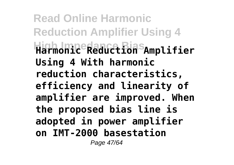**Read Online Harmonic Reduction Amplifier Using 4 High Impedance Bias Harmonic Reduction Amplifier Using 4 With harmonic reduction characteristics, efficiency and linearity of amplifier are improved. When the proposed bias line is adopted in power amplifier on IMT-2000 basestation** Page 47/64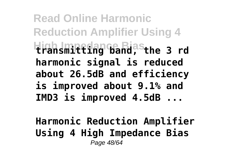**Read Online Harmonic Reduction Amplifier Using 4 High Impedance Bias transmitting band, the 3 rd harmonic signal is reduced about 26.5dB and efficiency is improved about 9.1% and IMD3 is improved 4.5dB ...**

**Harmonic Reduction Amplifier Using 4 High Impedance Bias** Page 48/64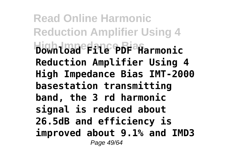**Read Online Harmonic Reduction Amplifier Using 4 High Impedance Bias Download File PDF Harmonic Reduction Amplifier Using 4 High Impedance Bias IMT-2000 basestation transmitting band, the 3 rd harmonic signal is reduced about 26.5dB and efficiency is improved about 9.1% and IMD3** Page 49/64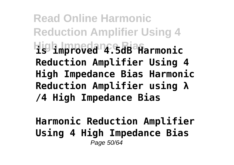**Read Online Harmonic Reduction Amplifier Using 4 High Impedance Bias is improved 4.5dB Harmonic Reduction Amplifier Using 4 High Impedance Bias Harmonic Reduction Amplifier using λ /4 High Impedance Bias**

**Harmonic Reduction Amplifier Using 4 High Impedance Bias** Page 50/64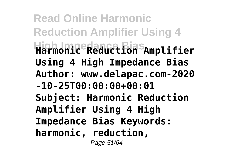**Read Online Harmonic Reduction Amplifier Using 4 High Impedance Bias Harmonic Reduction Amplifier Using 4 High Impedance Bias Author: www.delapac.com-2020 -10-25T00:00:00+00:01 Subject: Harmonic Reduction Amplifier Using 4 High Impedance Bias Keywords: harmonic, reduction,** Page 51/64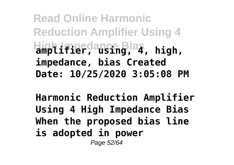**Read Online Harmonic Reduction Amplifier Using 4 High Impedance Bias amplifier, using, 4, high, impedance, bias Created Date: 10/25/2020 3:05:08 PM**

**Harmonic Reduction Amplifier Using 4 High Impedance Bias When the proposed bias line is adopted in power**

Page 52/64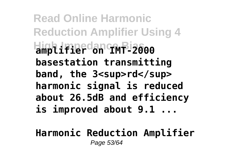**Read Online Harmonic Reduction Amplifier Using 4 High Impedance Bias amplifier on IMT-2000 basestation transmitting** band, the 3<sup>rd</sup> **harmonic signal is reduced about 26.5dB and efficiency is improved about 9.1 ...**

**Harmonic Reduction Amplifier** Page 53/64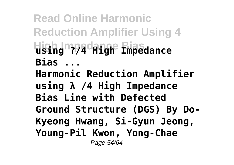**Read Online Harmonic Reduction Amplifier Using 4 High Impedance Bias using ?/4 High Impedance Bias ... Harmonic Reduction Amplifier using λ /4 High Impedance Bias Line with Defected Ground Structure (DGS) By Do-Kyeong Hwang, Si-Gyun Jeong, Young-Pil Kwon, Yong-Chae** Page 54/64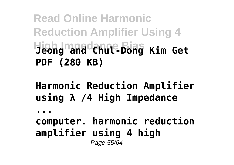**Read Online Harmonic Reduction Amplifier Using 4 High Impedance Bias Jeong and Chul-Dong Kim Get PDF (280 KB)**

**Harmonic Reduction Amplifier using λ /4 High Impedance**

**...**

**computer. harmonic reduction amplifier using 4 high** Page 55/64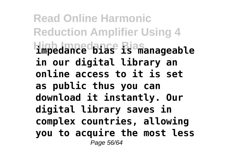**Read Online Harmonic Reduction Amplifier Using 4 High Impedance Bias impedance bias is manageable in our digital library an online access to it is set as public thus you can download it instantly. Our digital library saves in complex countries, allowing you to acquire the most less** Page 56/64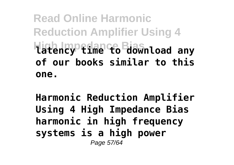**Read Online Harmonic Reduction Amplifier Using 4 Higtency fime to Biawnload any of our books similar to this one.**

**Harmonic Reduction Amplifier Using 4 High Impedance Bias harmonic in high frequency systems is a high power** Page 57/64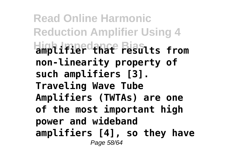**Read Online Harmonic Reduction Amplifier Using 4 High Impedance Bias amplifier that results from non-linearity property of such amplifiers [3]. Traveling Wave Tube Amplifiers (TWTAs) are one of the most important high power and wideband amplifiers [4], so they have** Page 58/64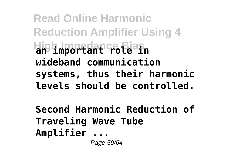**Read Online Harmonic Reduction Amplifier Using 4 High Impedance Bias an important role in wideband communication systems, thus their harmonic levels should be controlled.**

**Second Harmonic Reduction of Traveling Wave Tube Amplifier ...** Page 59/64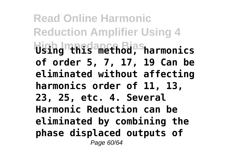**Read Online Harmonic Reduction Amplifier Using 4 High Impedance Bias Using this method, harmonics of order 5, 7, 17, 19 Can be eliminated without affecting harmonics order of 11, 13, 23, 25, etc. 4. Several Harmonic Reduction can be eliminated by combining the phase displaced outputs of** Page 60/64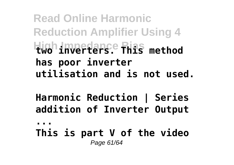**Read Online Harmonic Reduction Amplifier Using 4 High Impedance Bias two inverters. This method has poor inverter utilisation and is not used.**

**Harmonic Reduction | Series addition of Inverter Output ...**

**This is part V of the video** Page 61/64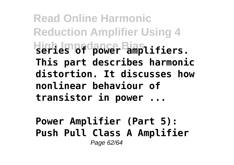**Read Online Harmonic Reduction Amplifier Using 4 High Impedance Bias series of power amplifiers. This part describes harmonic distortion. It discusses how nonlinear behaviour of transistor in power ...**

**Power Amplifier (Part 5): Push Pull Class A Amplifier** Page 62/64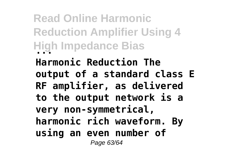**Read Online Harmonic Reduction Amplifier Using 4 High Impedance Bias ...**

**Harmonic Reduction The output of a standard class E RF amplifier, as delivered to the output network is a very non-symmetrical, harmonic rich waveform. By using an even number of** Page 63/64